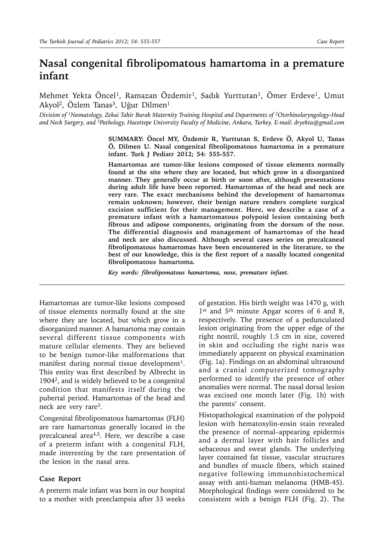# **Nasal congenital fibrolipomatous hamartoma in a premature infant**

Mehmet Yekta Öncel<sup>1</sup>, Ramazan Özdemir<sup>1</sup>, Sadık Yurttutan<sup>1</sup>, Ömer Erdeve<sup>1</sup>, Umut Akyol<sup>2</sup>, Özlem Tanas<sup>3</sup>, Uğur Dilmen<sup>1</sup>

*Division of 1Neonatology, Zekai Tahir Burak Maternity Training Hospital and Departments of 2Otorhinolaryngology-Head and Neck Surgery, and 3Pathology, Hacettepe University Faculty of Medicine, Ankara, Turkey. E-mail: dryekta@gmail.com*

> **SUMMARY: Öncel MY, Özdemir R, Yurttutan S, Erdeve Ö, Akyol U, Tanas Ö, Dilmen U. Nasal congenital fibrolipomatous hamartoma in a premature infant. Turk J Pediatr 2012; 54: 555-557.**

> **Hamartomas are tumor-like lesions composed of tissue elements normally found at the site where they are located, but which grow in a disorganized manner. They generally occur at birth or soon after, although presentations during adult life have been reported. Hamartomas of the head and neck are very rare. The exact mechanisms behind the development of hamartomas remain unknown; however, their benign nature renders complete surgical excision sufficient for their management. Here, we describe a case of a premature infant with a hamartomatous polypoid lesion containing both fibrous and adipose components, originating from the dorsum of the nose. The differential diagnosis and management of hamartomas of the head and neck are also discussed. Although several cases series on precalcaneal fibrolipomatous hamartomas have been encountered in the literature, to the best of our knowledge, this is the first report of a nasally located congenital fibrolipomatous hamartoma.**

*Key words: fibrolipomatous hamartoma, nose, premature infant.*

Hamartomas are tumor-like lesions composed of tissue elements normally found at the site where they are located, but which grow in a disorganized manner. A hamartoma may contain several different tissue components with mature cellular elements. They are believed to be benign tumor-like malformations that manifest during normal tissue development<sup>1</sup>. This entity was first described by Albrecht in 19042, and is widely believed to be a congenital condition that manifests itself during the pubertal period. Hamartomas of the head and neck are very rare3.

Congenital fibrolipomatous hamartomas (FLH) are rare hamartomas generally located in the precalcaneal area4,5. Here, we describe a case of a preterm infant with a congenital FLH, made interesting by the rare presentation of the lesion in the nasal area.

#### **Case Report**

A preterm male infant was born in our hospital to a mother with preeclampsia after 33 weeks

of gestation. His birth weight was 1470 g, with 1<sup>st</sup> and 5<sup>th</sup> minute Apgar scores of 6 and 8, respectively. The presence of a pedunculated lesion originating from the upper edge of the right nostril, roughly 1.5 cm in size, covered in skin and occluding the right naris was immediately apparent on physical examination (Fig. 1a). Findings on an abdominal ultrasound and a cranial computerized tomography performed to identify the presence of other anomalies were normal. The nasal dorsal lesion was excised one month later (Fig. 1b) with the parents' consent.

Histopathological examination of the polypoid lesion with hematoxylin-eosin stain revealed the presence of normal–appearing epidermis and a dermal layer with hair follicles and sebaceous and sweat glands. The underlying layer contained fat tissue, vascular structures and bundles of muscle fibers, which stained negative following immunohistochemical assay with anti-human melanoma (HMB-45). Morphological findings were considered to be consistent with a benign FLH (Fig. 2). The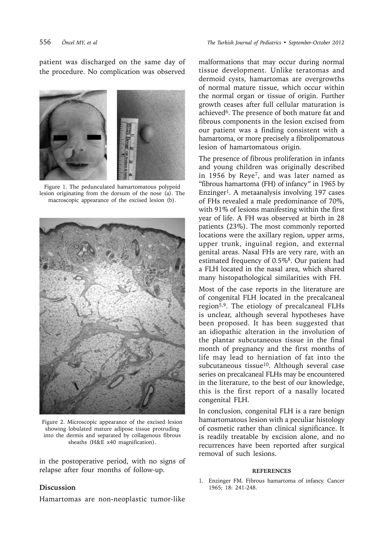patient was discharged on the same day of the procedure. No complication was observed



Figure 1. The pedunculated hamartomatous polypoid lesion originating from the dorsum of the nose (a). The macroscopic appearance of the excised lesion (b).



Figure 2. Microscopic appearance of the excised lesion showing lobulated mature adipose tissue protruding into the dermis and separated by collagenous fibrous sheaths (H&E x40 magnification).

in the postoperative period, with no signs of relapse after four months of follow-up.

## malformations that may occur during normal tissue development. Unlike teratomas and dermoid cysts, hamartomas are overgrowths of normal mature tissue, which occur within the normal organ or tissue of origin. Further growth ceases after full cellular maturation is achieved6. The presence of both mature fat and fibrous components in the lesion excised from our patient was a finding consistent with a hamartoma, or more precisely a fibrolipomatous lesion of hamartomatous origin.

The presence of fibrous proliferation in infants and young children was originally described in 1956 by Reye7, and was later named as "fibrous hamartoma (FH) of infancy" in 1965 by Enzinger1. A metaanalysis involving 197 cases of FHs revealed a male predominance of 70%, with 91% of lesions manifesting within the first year of life. A FH was observed at birth in 28 patients (23%). The most commonly reported locations were the axillary region, upper arms, upper trunk, inguinal region, and external genital areas. Nasal FHs are very rare, with an estimated frequency of 0.5%<sup>8</sup>. Our patient had a FLH located in the nasal area, which shared many histopathological similarities with FH.

Most of the case reports in the literature are of congenital FLH located in the precalcaneal region<sup>5,9</sup>. The etiology of precalcaneal FLHs is unclear, although several hypotheses have been proposed. It has been suggested that an idiopathic alteration in the involution of the plantar subcutaneous tissue in the final month of pregnancy and the first months of life may lead to herniation of fat into the subcutaneous tissue<sup>10</sup>. Although several case series on precalcaneal FLHs may be encountered in the literature, to the best of our knowledge, this is the first report of a nasally located congenital FLH.

In conclusion, congenital FLH is a rare benign hamartomatous lesion with a peculiar histology of cosmetic rather than clinical significance. It is readily treatable by excision alone, and no recurrences have been reported after surgical removal of such lesions.

#### **REFERENCES**

1. Enzinger FM. Fibrous hamartoma of infancy. Cancer 1965; 18: 241-248.

### **Discussion**

Hamartomas are non-neoplastic tumor-like